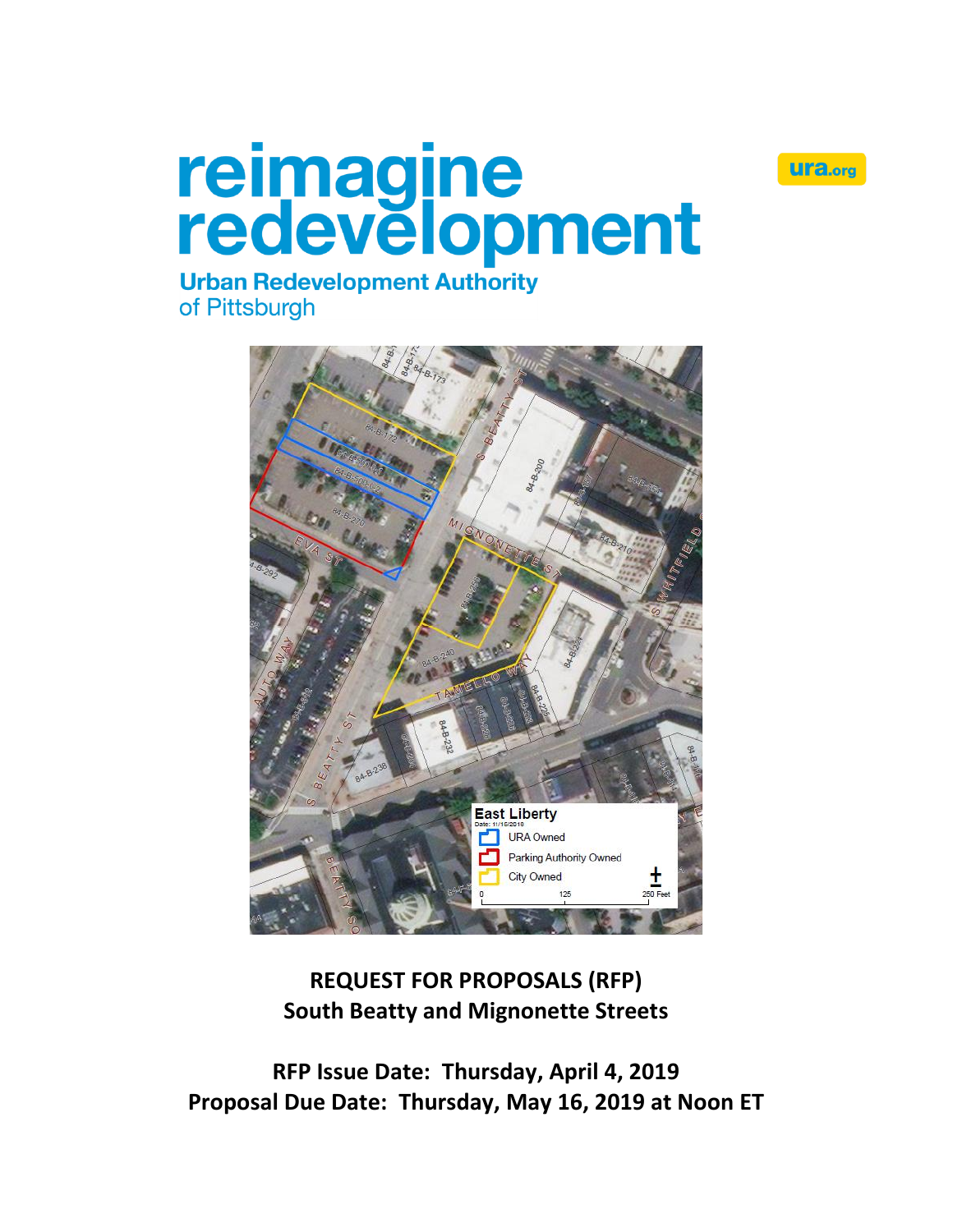

# reimagine<br>redevelopment

# **Urban Redevelopment Authority** of Pittsburgh



**REQUEST FOR PROPOSALS (RFP) South Beatty and Mignonette Streets**

**RFP Issue Date: Thursday, April 4, 2019 Proposal Due Date: Thursday, May 16, 2019 at Noon ET**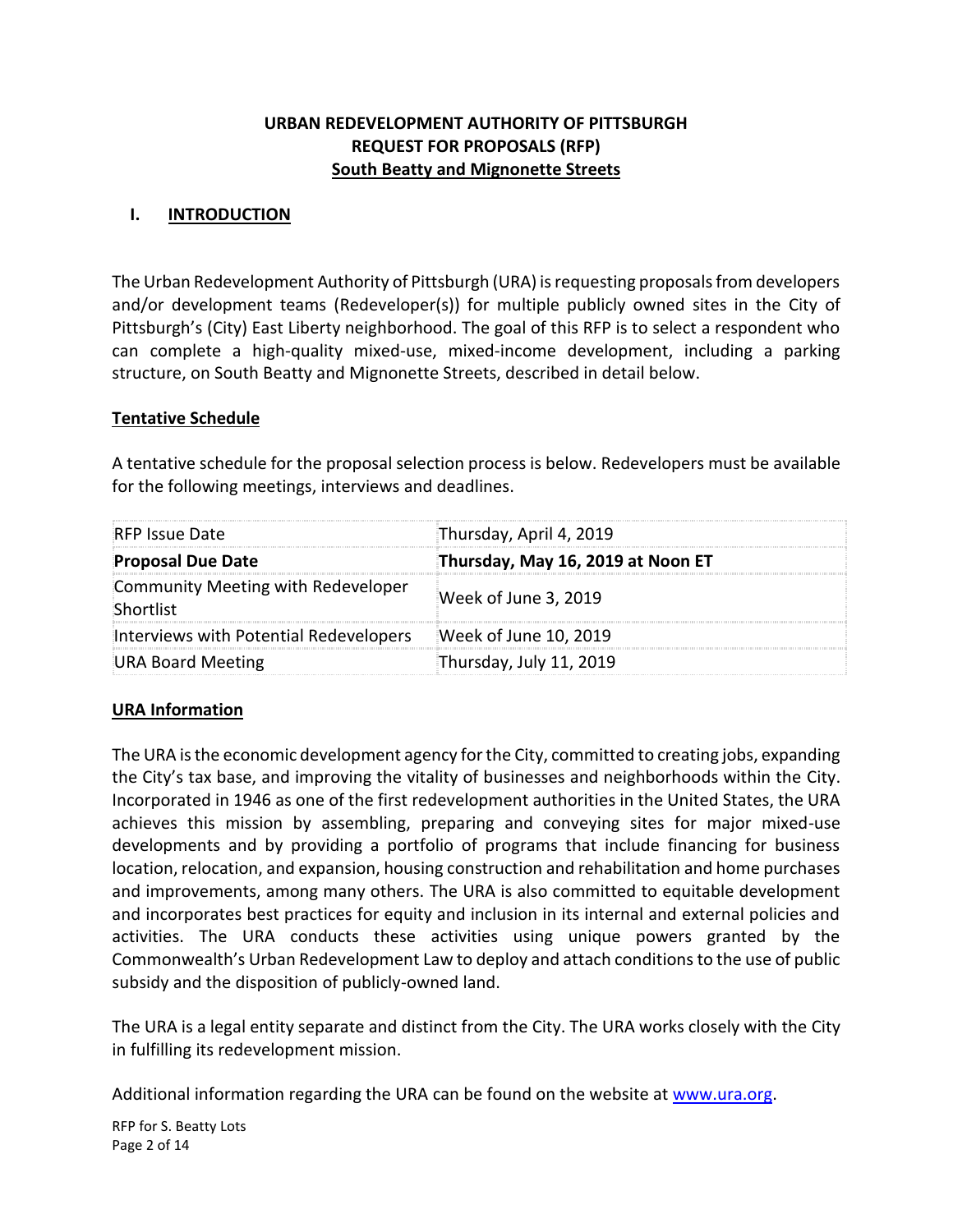# **URBAN REDEVELOPMENT AUTHORITY OF PITTSBURGH REQUEST FOR PROPOSALS (RFP) South Beatty and Mignonette Streets**

### **I. INTRODUCTION**

The Urban Redevelopment Authority of Pittsburgh (URA) is requesting proposals from developers and/or development teams (Redeveloper(s)) for multiple publicly owned sites in the City of Pittsburgh's (City) East Liberty neighborhood. The goal of this RFP is to select a respondent who can complete a high-quality mixed-use, mixed-income development, including a parking structure, on South Beatty and Mignonette Streets, described in detail below.

### **Tentative Schedule**

A tentative schedule for the proposal selection process is below. Redevelopers must be available for the following meetings, interviews and deadlines.

| <b>RFP Issue Date</b>                           | Thursday, April 4, 2019           |
|-------------------------------------------------|-----------------------------------|
| <b>Proposal Due Date</b>                        | Thursday, May 16, 2019 at Noon ET |
| Community Meeting with Redeveloper<br>Shortlist | Week of June 3, 2019              |
| Interviews with Potential Redevelopers          | Week of June 10, 2019             |
| <b>URA Board Meeting</b>                        | Thursday, July 11, 2019           |

# **URA Information**

The URA is the economic development agency for the City, committed to creating jobs, expanding the City's tax base, and improving the vitality of businesses and neighborhoods within the City. Incorporated in 1946 as one of the first redevelopment authorities in the United States, the URA achieves this mission by assembling, preparing and conveying sites for major mixed-use developments and by providing a portfolio of programs that include financing for business location, relocation, and expansion, housing construction and rehabilitation and home purchases and improvements, among many others. The URA is also committed to equitable development and incorporates best practices for equity and inclusion in its internal and external policies and activities. The URA conducts these activities using unique powers granted by the Commonwealth's Urban Redevelopment Law to deploy and attach conditions to the use of public subsidy and the disposition of publicly-owned land.

The URA is a legal entity separate and distinct from the City. The URA works closely with the City in fulfilling its redevelopment mission.

Additional information regarding the URA can be found on the website at [www.ura.org.](https://www.ura.org/)

RFP for S. Beatty Lots Page 2 of 14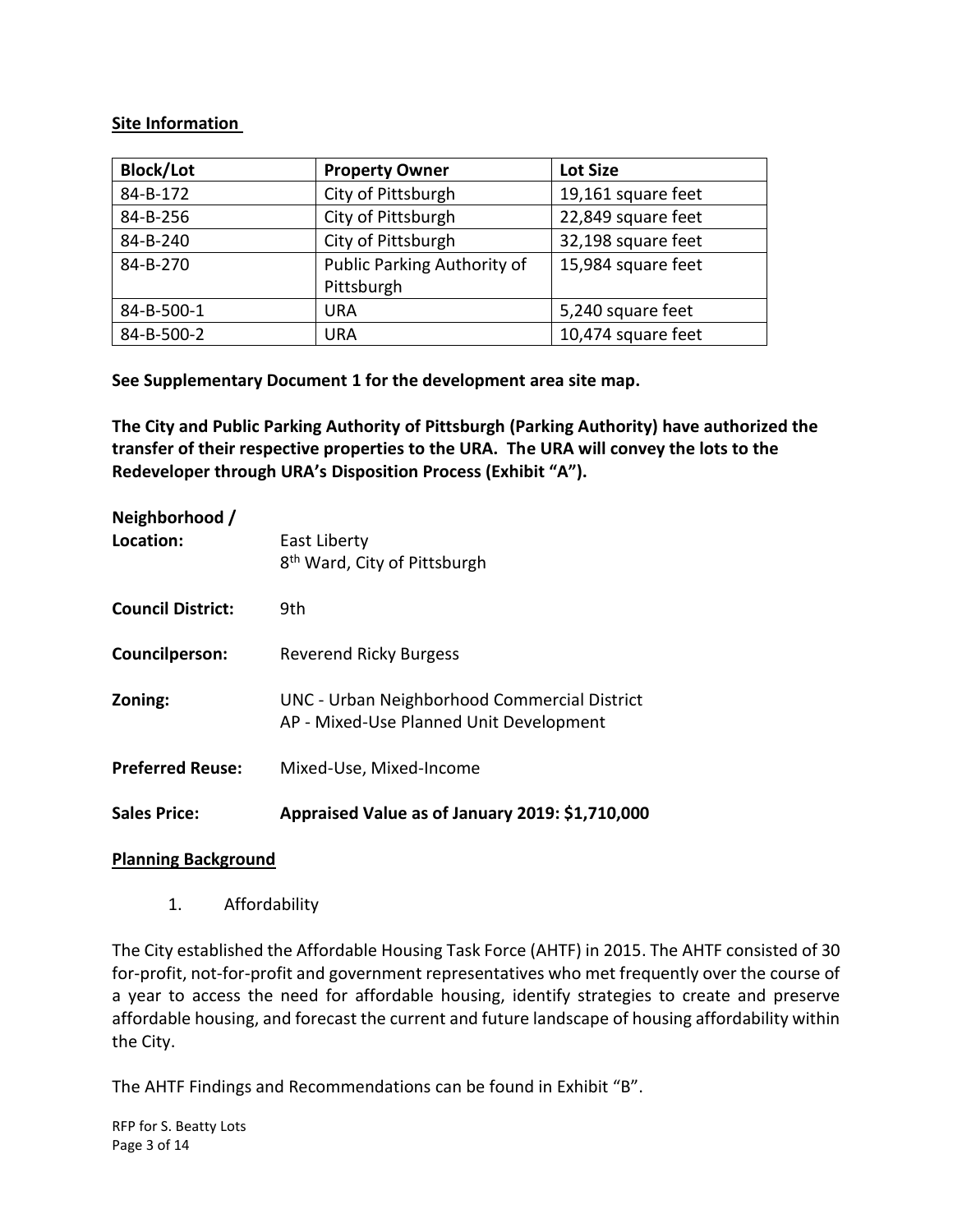### **Site Information**

| <b>Block/Lot</b> | <b>Property Owner</b>                     | <b>Lot Size</b>    |
|------------------|-------------------------------------------|--------------------|
| 84-B-172         | City of Pittsburgh                        | 19,161 square feet |
| 84-B-256         | City of Pittsburgh                        | 22,849 square feet |
| 84-B-240         | City of Pittsburgh                        | 32,198 square feet |
| 84-B-270         | Public Parking Authority of<br>Pittsburgh | 15,984 square feet |
| 84-B-500-1       | URA                                       | 5,240 square feet  |
| 84-B-500-2       | URA                                       | 10,474 square feet |

**See Supplementary Document 1 for the development area site map.**

**The City and Public Parking Authority of Pittsburgh (Parking Authority) have authorized the transfer of their respective properties to the URA. The URA will convey the lots to the Redeveloper through URA's Disposition Process (Exhibit "A").**

| <b>Sales Price:</b>         | Appraised Value as of January 2019: \$1,710,000                                         |
|-----------------------------|-----------------------------------------------------------------------------------------|
| <b>Preferred Reuse:</b>     | Mixed-Use, Mixed-Income                                                                 |
| Zoning:                     | UNC - Urban Neighborhood Commercial District<br>AP - Mixed-Use Planned Unit Development |
| Councilperson:              | Reverend Ricky Burgess                                                                  |
| <b>Council District:</b>    | 9th                                                                                     |
| Neighborhood /<br>Location: | East Liberty<br>8 <sup>th</sup> Ward, City of Pittsburgh                                |

### **Planning Background**

1. Affordability

The City established the Affordable Housing Task Force (AHTF) in 2015. The AHTF consisted of 30 for-profit, not-for-profit and government representatives who met frequently over the course of a year to access the need for affordable housing, identify strategies to create and preserve affordable housing, and forecast the current and future landscape of housing affordability within the City.

The AHTF Findings and Recommendations can be found in Exhibit "B".

RFP for S. Beatty Lots Page 3 of 14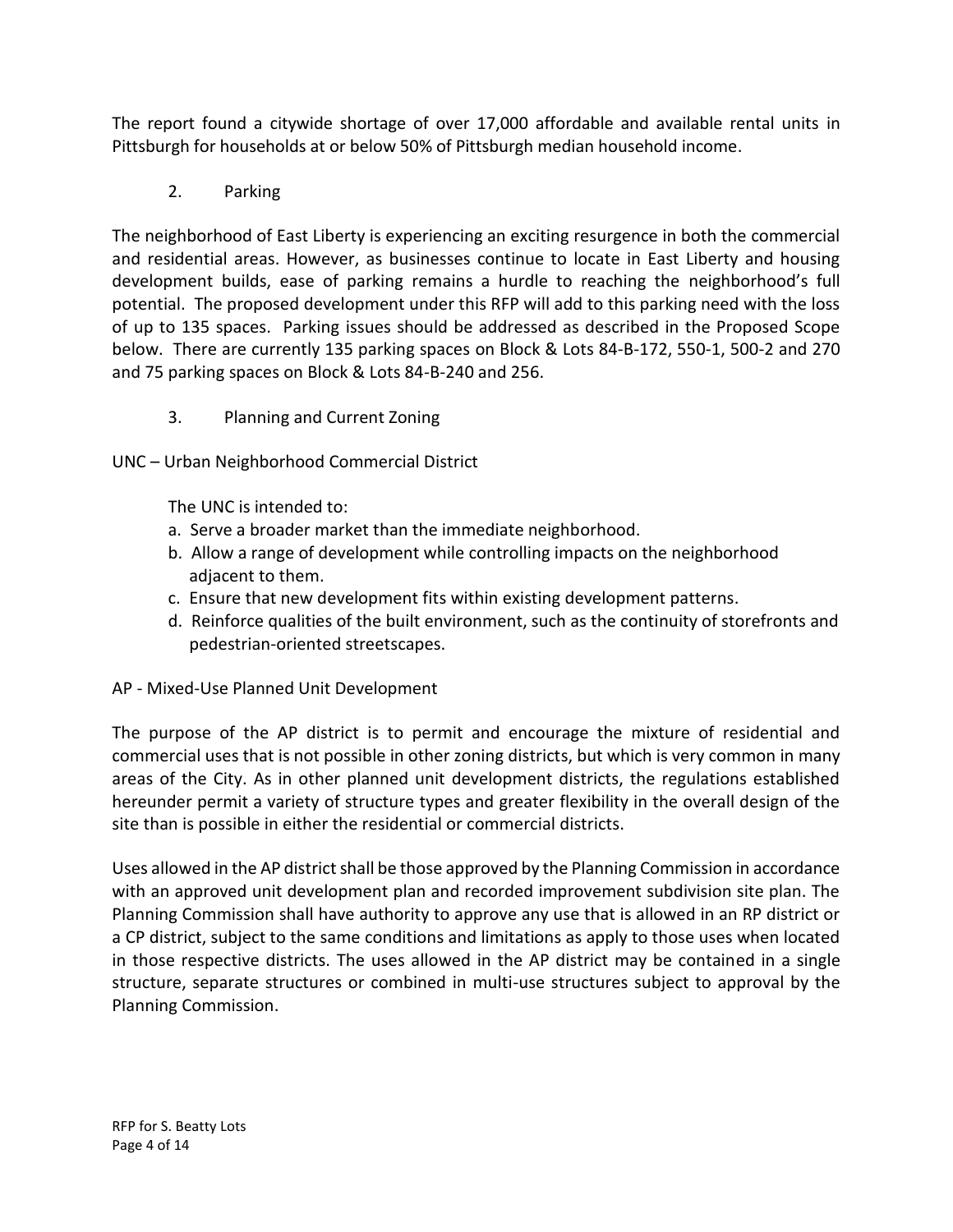The report found a citywide shortage of over 17,000 affordable and available rental units in Pittsburgh for households at or below 50% of Pittsburgh median household income.

2. Parking

The neighborhood of East Liberty is experiencing an exciting resurgence in both the commercial and residential areas. However, as businesses continue to locate in East Liberty and housing development builds, ease of parking remains a hurdle to reaching the neighborhood's full potential. The proposed development under this RFP will add to this parking need with the loss of up to 135 spaces. Parking issues should be addressed as described in the Proposed Scope below. There are currently 135 parking spaces on Block & Lots 84-B-172, 550-1, 500-2 and 270 and 75 parking spaces on Block & Lots 84-B-240 and 256.

3. Planning and Current Zoning

UNC – Urban Neighborhood Commercial District

The UNC is intended to:

- a. Serve a broader market than the immediate neighborhood.
- b. Allow a range of development while controlling impacts on the neighborhood adjacent to them.
- c. Ensure that new development fits within existing development patterns.
- d. Reinforce qualities of the built environment, such as the continuity of storefronts and pedestrian-oriented streetscapes.

AP - Mixed-Use Planned Unit Development

The purpose of the AP district is to permit and encourage the mixture of residential and commercial uses that is not possible in other zoning districts, but which is very common in many areas of the City. As in other planned unit development districts, the regulations established hereunder permit a variety of structure types and greater flexibility in the overall design of the site than is possible in either the residential or commercial districts.

Uses allowed in the AP district shall be those approved by the Planning Commission in accordance with an approved unit development plan and recorded improvement subdivision site plan. The Planning Commission shall have authority to approve any use that is allowed in an RP district or a CP district, subject to the same conditions and limitations as apply to those uses when located in those respective districts. The uses allowed in the AP district may be contained in a single structure, separate structures or combined in multi-use structures subject to approval by the Planning Commission.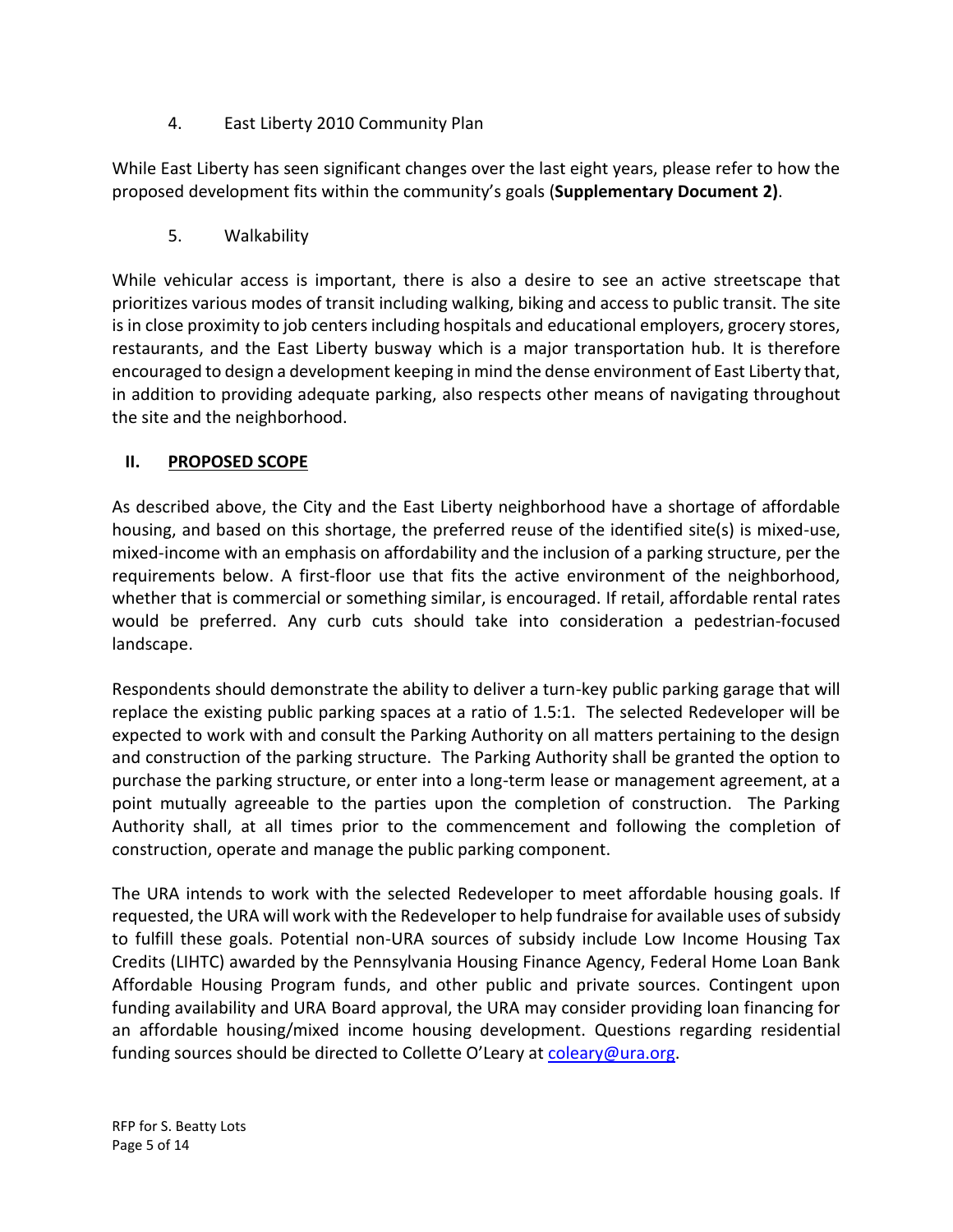4. East Liberty 2010 Community Plan

While East Liberty has seen significant changes over the last eight years, please refer to how the proposed development fits within the community's goals (**Supplementary Document 2)**.

5. Walkability

While vehicular access is important, there is also a desire to see an active streetscape that prioritizes various modes of transit including walking, biking and access to public transit. The site is in close proximity to job centers including hospitals and educational employers, grocery stores, restaurants, and the East Liberty busway which is a major transportation hub. It is therefore encouraged to design a development keeping in mind the dense environment of East Liberty that, in addition to providing adequate parking, also respects other means of navigating throughout the site and the neighborhood.

# **II. PROPOSED SCOPE**

As described above, the City and the East Liberty neighborhood have a shortage of affordable housing, and based on this shortage, the preferred reuse of the identified site(s) is mixed-use, mixed-income with an emphasis on affordability and the inclusion of a parking structure, per the requirements below. A first-floor use that fits the active environment of the neighborhood, whether that is commercial or something similar, is encouraged. If retail, affordable rental rates would be preferred. Any curb cuts should take into consideration a pedestrian-focused landscape.

Respondents should demonstrate the ability to deliver a turn-key public parking garage that will replace the existing public parking spaces at a ratio of 1.5:1. The selected Redeveloper will be expected to work with and consult the Parking Authority on all matters pertaining to the design and construction of the parking structure. The Parking Authority shall be granted the option to purchase the parking structure, or enter into a long-term lease or management agreement, at a point mutually agreeable to the parties upon the completion of construction. The Parking Authority shall, at all times prior to the commencement and following the completion of construction, operate and manage the public parking component.

The URA intends to work with the selected Redeveloper to meet affordable housing goals. If requested, the URA will work with the Redeveloper to help fundraise for available uses of subsidy to fulfill these goals. Potential non-URA sources of subsidy include Low Income Housing Tax Credits (LIHTC) awarded by the Pennsylvania Housing Finance Agency, Federal Home Loan Bank Affordable Housing Program funds, and other public and private sources. Contingent upon funding availability and URA Board approval, the URA may consider providing loan financing for an affordable housing/mixed income housing development. Questions regarding residential funding sources should be directed to Collette O'Leary at [coleary@ura.org.](mailto:coleary@ura.org)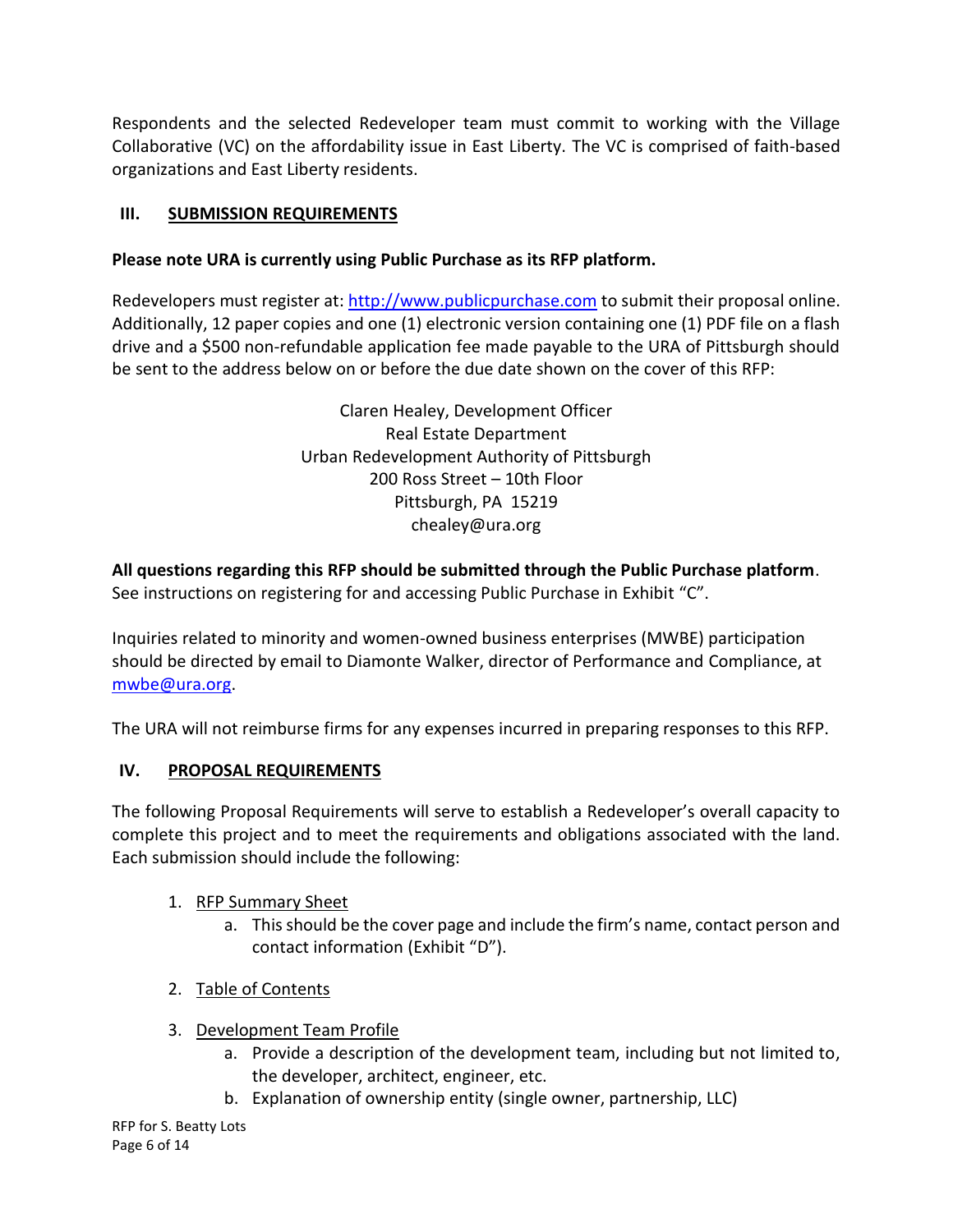Respondents and the selected Redeveloper team must commit to working with the Village Collaborative (VC) on the affordability issue in East Liberty. The VC is comprised of faith-based organizations and East Liberty residents.

# **III. SUBMISSION REQUIREMENTS**

# **Please note URA is currently using Public Purchase as its RFP platform.**

Redevelopers must register at[: http://www.publicpurchase.com](http://www.publicpurchase.com/) to submit their proposal online. Additionally, 12 paper copies and one (1) electronic version containing one (1) PDF file on a flash drive and a \$500 non-refundable application fee made payable to the URA of Pittsburgh should be sent to the address below on or before the due date shown on the cover of this RFP:

> Claren Healey, Development Officer Real Estate Department Urban Redevelopment Authority of Pittsburgh 200 Ross Street – 10th Floor Pittsburgh, PA 15219 chealey@ura.org

**All questions regarding this RFP should be submitted through the Public Purchase platform**. See instructions on registering for and accessing Public Purchase in Exhibit "C".

Inquiries related to minority and women-owned business enterprises (MWBE) participation should be directed by email to Diamonte Walker, director of Performance and Compliance, at [mwbe@ura.org.](mailto:mwbe@ura.org)

The URA will not reimburse firms for any expenses incurred in preparing responses to this RFP.

# **IV. PROPOSAL REQUIREMENTS**

The following Proposal Requirements will serve to establish a Redeveloper's overall capacity to complete this project and to meet the requirements and obligations associated with the land. Each submission should include the following:

# 1. RFP Summary Sheet

- a. This should be the cover page and include the firm's name, contact person and contact information (Exhibit "D").
- 2. Table of Contents
- 3. Development Team Profile
	- a. Provide a description of the development team, including but not limited to, the developer, architect, engineer, etc.
	- b. Explanation of ownership entity (single owner, partnership, LLC)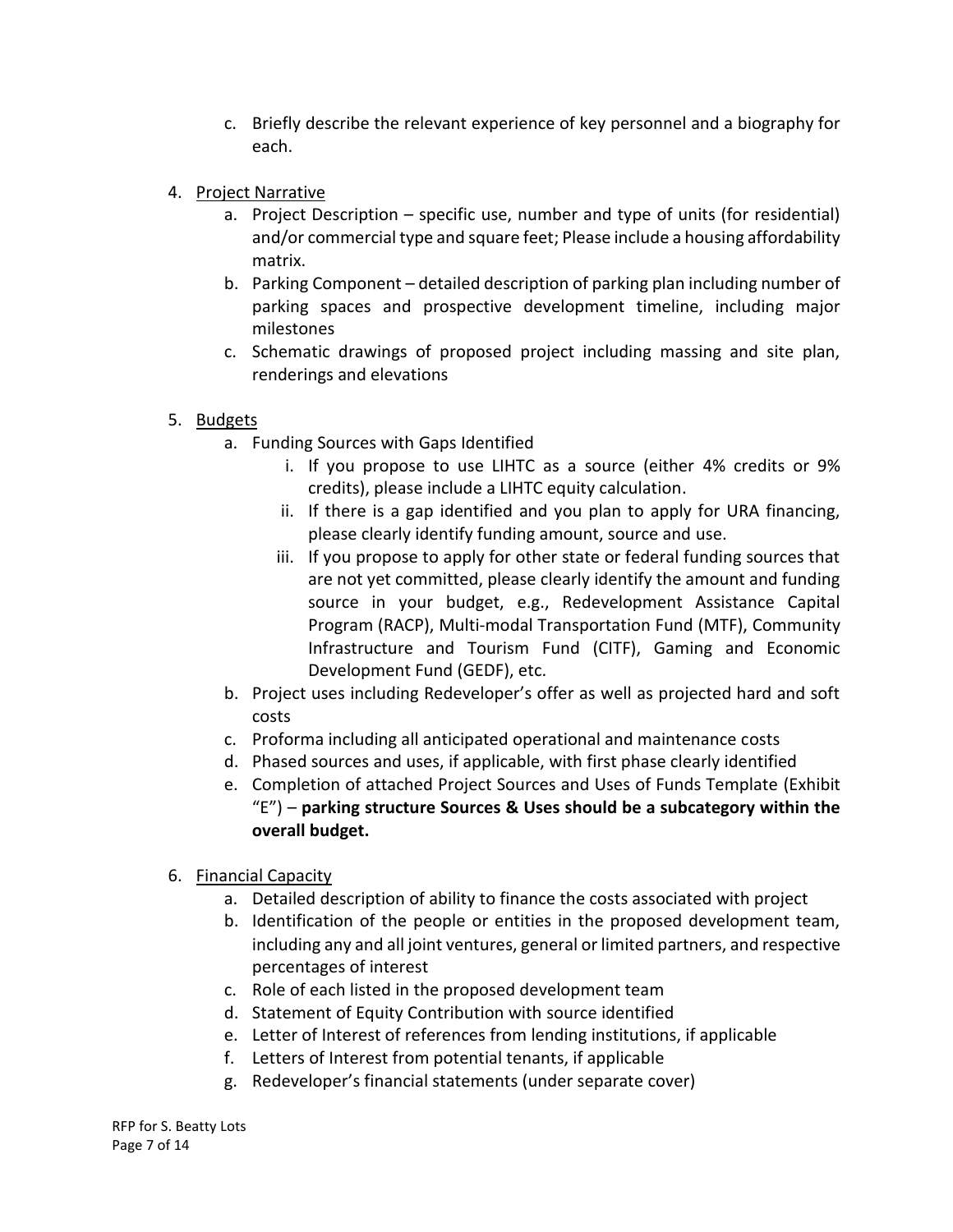- c. Briefly describe the relevant experience of key personnel and a biography for each.
- 4. Project Narrative
	- a. Project Description specific use, number and type of units (for residential) and/or commercial type and square feet; Please include a housing affordability matrix.
	- b. Parking Component detailed description of parking plan including number of parking spaces and prospective development timeline, including major milestones
	- c. Schematic drawings of proposed project including massing and site plan, renderings and elevations
- 5. Budgets
	- a. Funding Sources with Gaps Identified
		- i. If you propose to use LIHTC as a source (either 4% credits or 9% credits), please include a LIHTC equity calculation.
		- ii. If there is a gap identified and you plan to apply for URA financing, please clearly identify funding amount, source and use.
		- iii. If you propose to apply for other state or federal funding sources that are not yet committed, please clearly identify the amount and funding source in your budget, e.g., Redevelopment Assistance Capital Program (RACP), Multi-modal Transportation Fund (MTF), Community Infrastructure and Tourism Fund (CITF), Gaming and Economic Development Fund (GEDF), etc.
	- b. Project uses including Redeveloper's offer as well as projected hard and soft costs
	- c. Proforma including all anticipated operational and maintenance costs
	- d. Phased sources and uses, if applicable, with first phase clearly identified
	- e. Completion of attached Project Sources and Uses of Funds Template (Exhibit "E") – **parking structure Sources & Uses should be a subcategory within the overall budget.**
- 6. Financial Capacity
	- a. Detailed description of ability to finance the costs associated with project
	- b. Identification of the people or entities in the proposed development team, including any and all joint ventures, general or limited partners, and respective percentages of interest
	- c. Role of each listed in the proposed development team
	- d. Statement of Equity Contribution with source identified
	- e. Letter of Interest of references from lending institutions, if applicable
	- f. Letters of Interest from potential tenants, if applicable
	- g. Redeveloper's financial statements (under separate cover)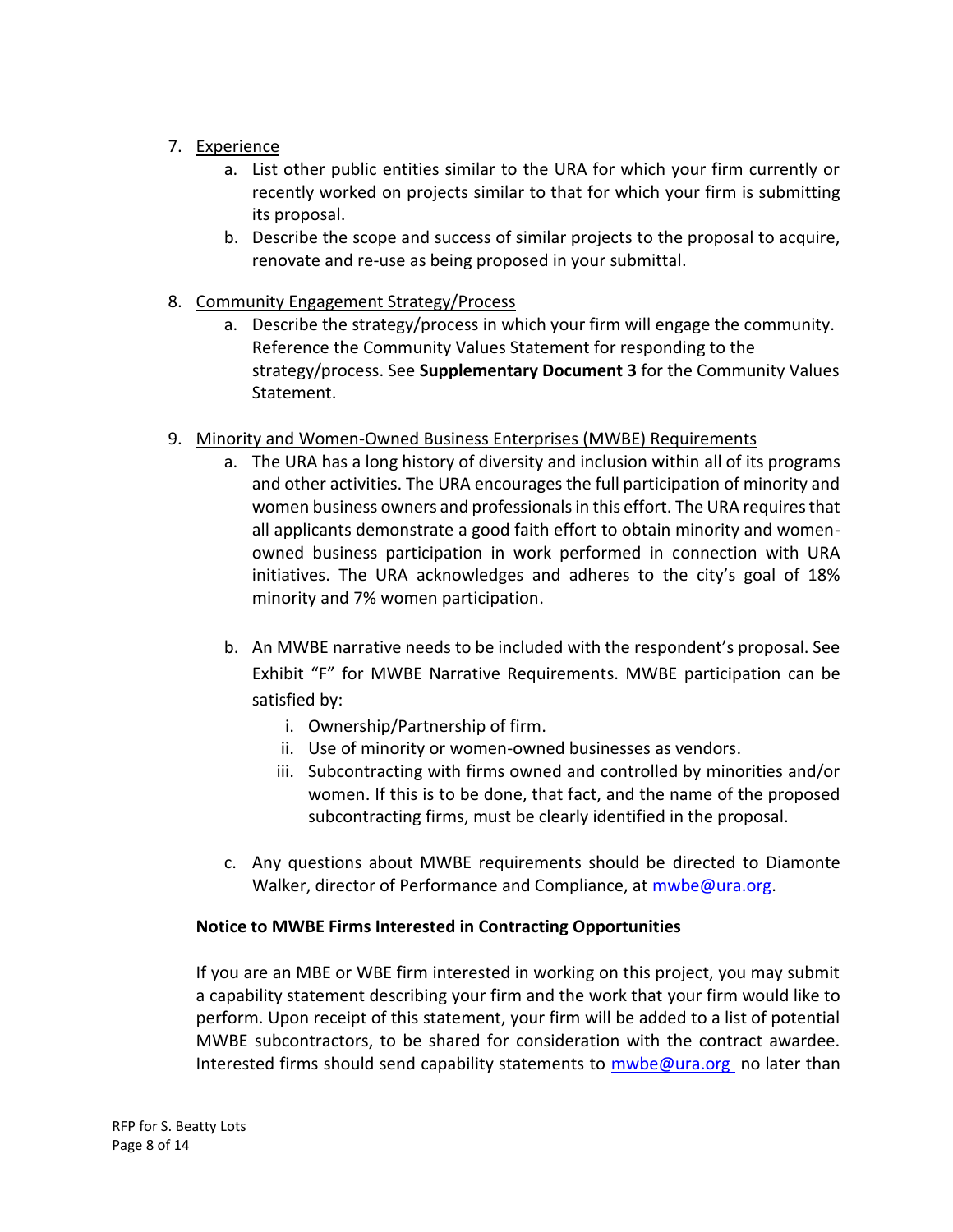- 7. Experience
	- a. List other public entities similar to the URA for which your firm currently or recently worked on projects similar to that for which your firm is submitting its proposal.
	- b. Describe the scope and success of similar projects to the proposal to acquire, renovate and re-use as being proposed in your submittal.
- 8. Community Engagement Strategy/Process
	- a. Describe the strategy/process in which your firm will engage the community. Reference the Community Values Statement for responding to the strategy/process. See **Supplementary Document 3** for the Community Values Statement.
- 9. Minority and Women-Owned Business Enterprises (MWBE) Requirements
	- a. The URA has a long history of diversity and inclusion within all of its programs and other activities. The URA encourages the full participation of minority and women business owners and professionals in this effort. The URA requires that all applicants demonstrate a good faith effort to obtain minority and womenowned business participation in work performed in connection with URA initiatives. The URA acknowledges and adheres to the city's goal of 18% minority and 7% women participation.
	- b. An MWBE narrative needs to be included with the respondent's proposal. See Exhibit "F" for MWBE Narrative Requirements. MWBE participation can be satisfied by:
		- i. Ownership/Partnership of firm.
		- ii. Use of minority or women-owned businesses as vendors.
		- iii. Subcontracting with firms owned and controlled by minorities and/or women. If this is to be done, that fact, and the name of the proposed subcontracting firms, must be clearly identified in the proposal.
	- c. Any questions about MWBE requirements should be directed to Diamonte Walker, director of Performance and Compliance, at [mwbe@ura.org.](mailto:mwbe@ura.org)

# **Notice to MWBE Firms Interested in Contracting Opportunities**

If you are an MBE or WBE firm interested in working on this project, you may submit a capability statement describing your firm and the work that your firm would like to perform. Upon receipt of this statement, your firm will be added to a list of potential MWBE subcontractors, to be shared for consideration with the contract awardee. Interested firms should send capability statements to  $mwbe@ura.org$  no later than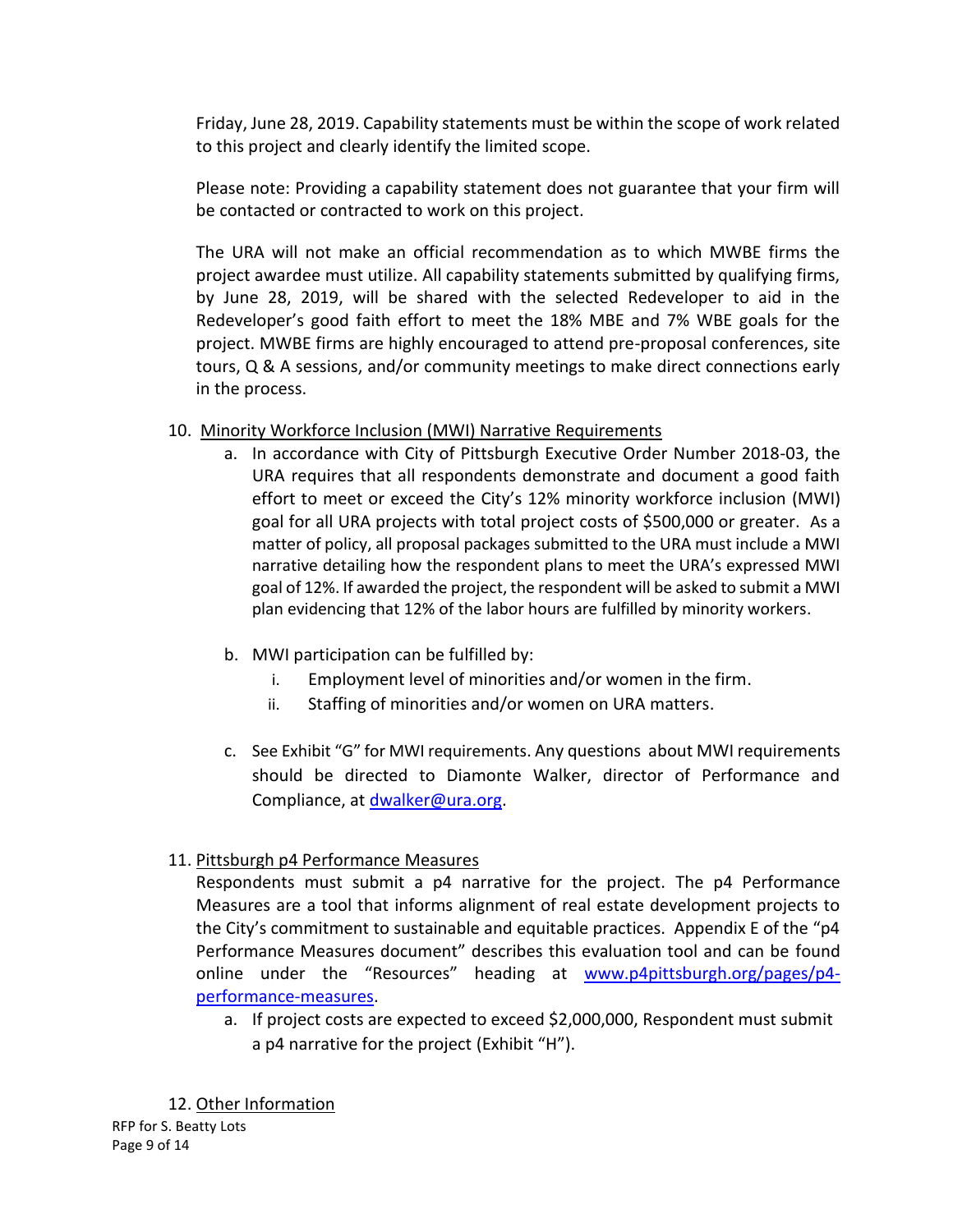Friday, June 28, 2019. Capability statements must be within the scope of work related to this project and clearly identify the limited scope.

Please note: Providing a capability statement does not guarantee that your firm will be contacted or contracted to work on this project.

The URA will not make an official recommendation as to which MWBE firms the project awardee must utilize. All capability statements submitted by qualifying firms, by June 28, 2019, will be shared with the selected Redeveloper to aid in the Redeveloper's good faith effort to meet the 18% MBE and 7% WBE goals for the project. MWBE firms are highly encouraged to attend pre-proposal conferences, site tours, Q & A sessions, and/or community meetings to make direct connections early in the process.

# 10. Minority Workforce Inclusion (MWI) Narrative Requirements

- a. In accordance with City of Pittsburgh Executive Order Number 2018-03, the URA requires that all respondents demonstrate and document a good faith effort to meet or exceed the City's 12% minority workforce inclusion (MWI) goal for all URA projects with total project costs of \$500,000 or greater. As a matter of policy, all proposal packages submitted to the URA must include a MWI narrative detailing how the respondent plans to meet the URA's expressed MWI goal of 12%. If awarded the project, the respondent will be asked to submit a MWI plan evidencing that 12% of the labor hours are fulfilled by minority workers.
- b. MWI participation can be fulfilled by:
	- i. Employment level of minorities and/or women in the firm.
	- ii. Staffing of minorities and/or women on URA matters.
- c. See Exhibit "G" for MWI requirements. Any questions about MWI requirements should be directed to Diamonte Walker, director of Performance and Compliance, at [dwalker@ura.org.](mailto:dwalker@ura.org)

# 11. Pittsburgh p4 Performance Measures

Respondents must submit a p4 narrative for the project. The p4 Performance Measures are a tool that informs alignment of real estate development projects to the City's commitment to sustainable and equitable practices. Appendix E of the "p4 Performance Measures document" describes this evaluation tool and can be found online under the "Resources" heading at [www.p4pittsburgh.org/pages/p4](http://www.p4pittsburgh.org/pages/p4-performance-measures) [performance-measures.](http://www.p4pittsburgh.org/pages/p4-performance-measures)

a. If project costs are expected to exceed \$2,000,000, Respondent must submit a p4 narrative for the project (Exhibit "H").

RFP for S. Beatty Lots Page 9 of 14 12. Other Information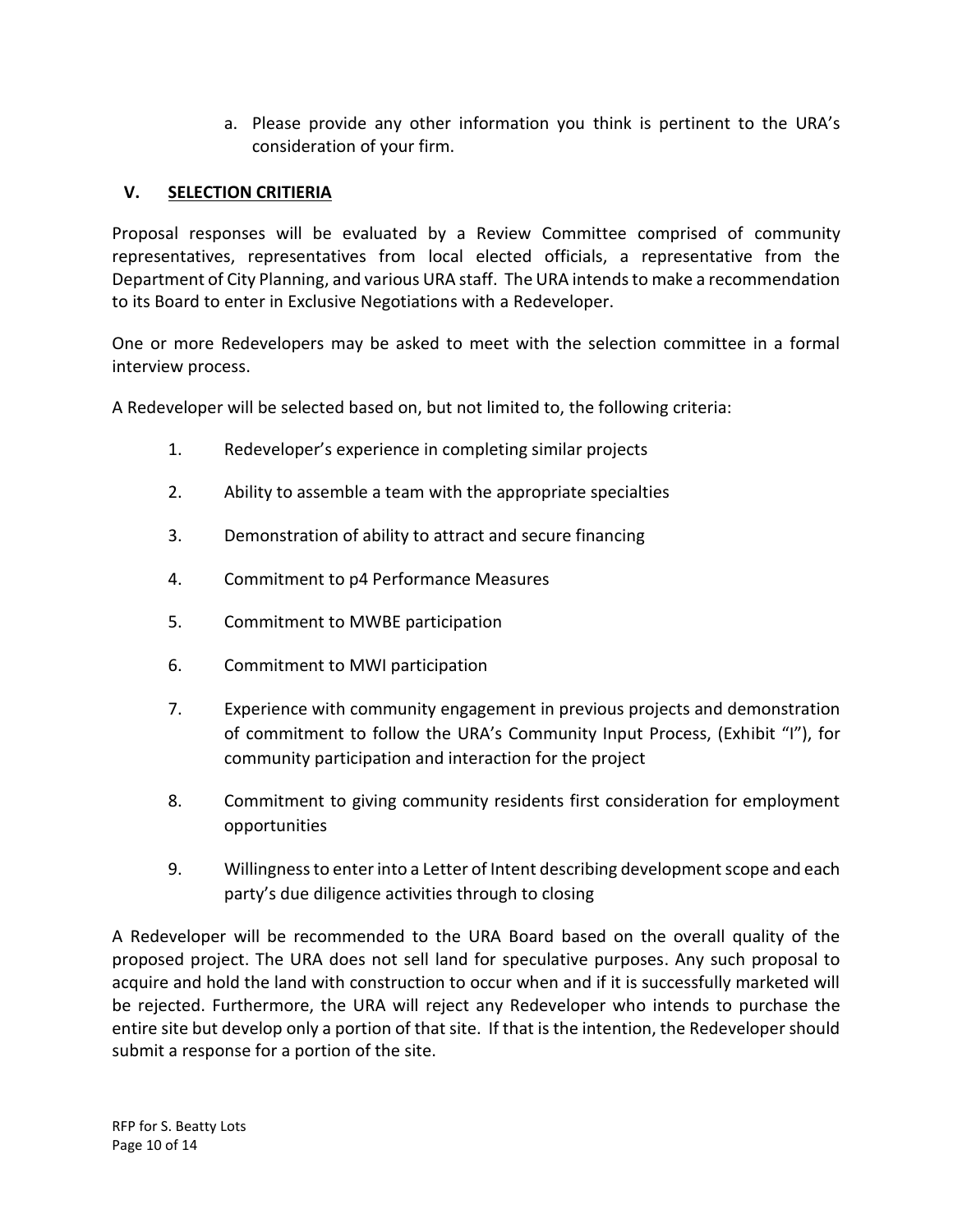a. Please provide any other information you think is pertinent to the URA's consideration of your firm.

# **V. SELECTION CRITIERIA**

Proposal responses will be evaluated by a Review Committee comprised of community representatives, representatives from local elected officials, a representative from the Department of City Planning, and various URA staff. The URA intends to make a recommendation to its Board to enter in Exclusive Negotiations with a Redeveloper.

One or more Redevelopers may be asked to meet with the selection committee in a formal interview process.

A Redeveloper will be selected based on, but not limited to, the following criteria:

- 1. Redeveloper's experience in completing similar projects
- 2. Ability to assemble a team with the appropriate specialties
- 3. Demonstration of ability to attract and secure financing
- 4. Commitment to p4 Performance Measures
- 5. Commitment to MWBE participation
- 6. Commitment to MWI participation
- 7. Experience with community engagement in previous projects and demonstration of commitment to follow the URA's Community Input Process, (Exhibit "I"), for community participation and interaction for the project
- 8. Commitment to giving community residents first consideration for employment opportunities
- 9. Willingness to enter into a Letter of Intent describing development scope and each party's due diligence activities through to closing

A Redeveloper will be recommended to the URA Board based on the overall quality of the proposed project. The URA does not sell land for speculative purposes. Any such proposal to acquire and hold the land with construction to occur when and if it is successfully marketed will be rejected. Furthermore, the URA will reject any Redeveloper who intends to purchase the entire site but develop only a portion of that site. If that is the intention, the Redeveloper should submit a response for a portion of the site.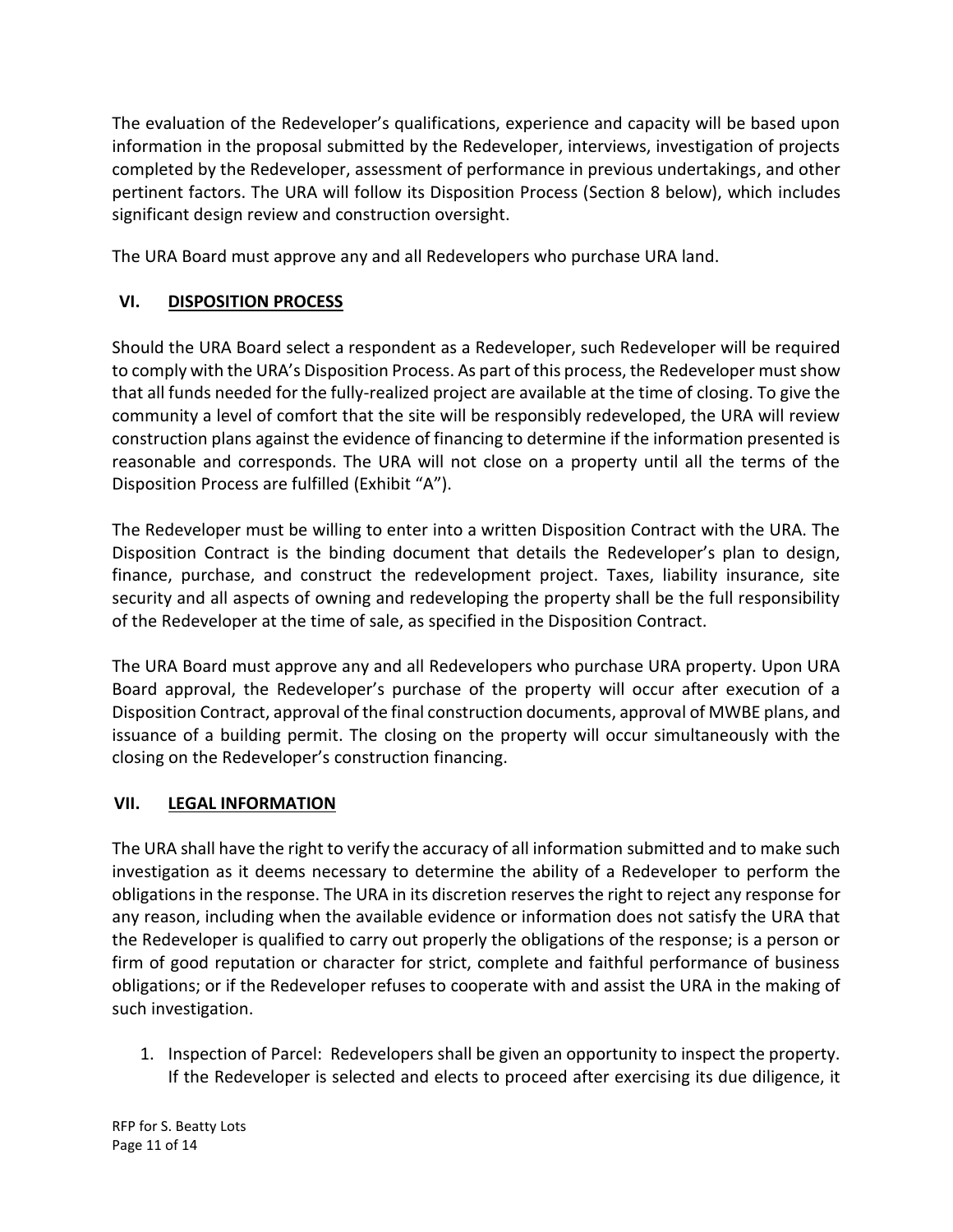The evaluation of the Redeveloper's qualifications, experience and capacity will be based upon information in the proposal submitted by the Redeveloper, interviews, investigation of projects completed by the Redeveloper, assessment of performance in previous undertakings, and other pertinent factors. The URA will follow its Disposition Process (Section 8 below), which includes significant design review and construction oversight.

The URA Board must approve any and all Redevelopers who purchase URA land.

# **VI. DISPOSITION PROCESS**

Should the URA Board select a respondent as a Redeveloper, such Redeveloper will be required to comply with the URA's Disposition Process. As part of this process, the Redeveloper must show that all funds needed for the fully-realized project are available at the time of closing. To give the community a level of comfort that the site will be responsibly redeveloped, the URA will review construction plans against the evidence of financing to determine if the information presented is reasonable and corresponds. The URA will not close on a property until all the terms of the Disposition Process are fulfilled (Exhibit "A").

The Redeveloper must be willing to enter into a written Disposition Contract with the URA. The Disposition Contract is the binding document that details the Redeveloper's plan to design, finance, purchase, and construct the redevelopment project. Taxes, liability insurance, site security and all aspects of owning and redeveloping the property shall be the full responsibility of the Redeveloper at the time of sale, as specified in the Disposition Contract.

The URA Board must approve any and all Redevelopers who purchase URA property. Upon URA Board approval, the Redeveloper's purchase of the property will occur after execution of a Disposition Contract, approval of the final construction documents, approval of MWBE plans, and issuance of a building permit. The closing on the property will occur simultaneously with the closing on the Redeveloper's construction financing.

# **VII. LEGAL INFORMATION**

The URA shall have the right to verify the accuracy of all information submitted and to make such investigation as it deems necessary to determine the ability of a Redeveloper to perform the obligations in the response. The URA in its discretion reserves the right to reject any response for any reason, including when the available evidence or information does not satisfy the URA that the Redeveloper is qualified to carry out properly the obligations of the response; is a person or firm of good reputation or character for strict, complete and faithful performance of business obligations; or if the Redeveloper refuses to cooperate with and assist the URA in the making of such investigation.

1. Inspection of Parcel: Redevelopers shall be given an opportunity to inspect the property. If the Redeveloper is selected and elects to proceed after exercising its due diligence, it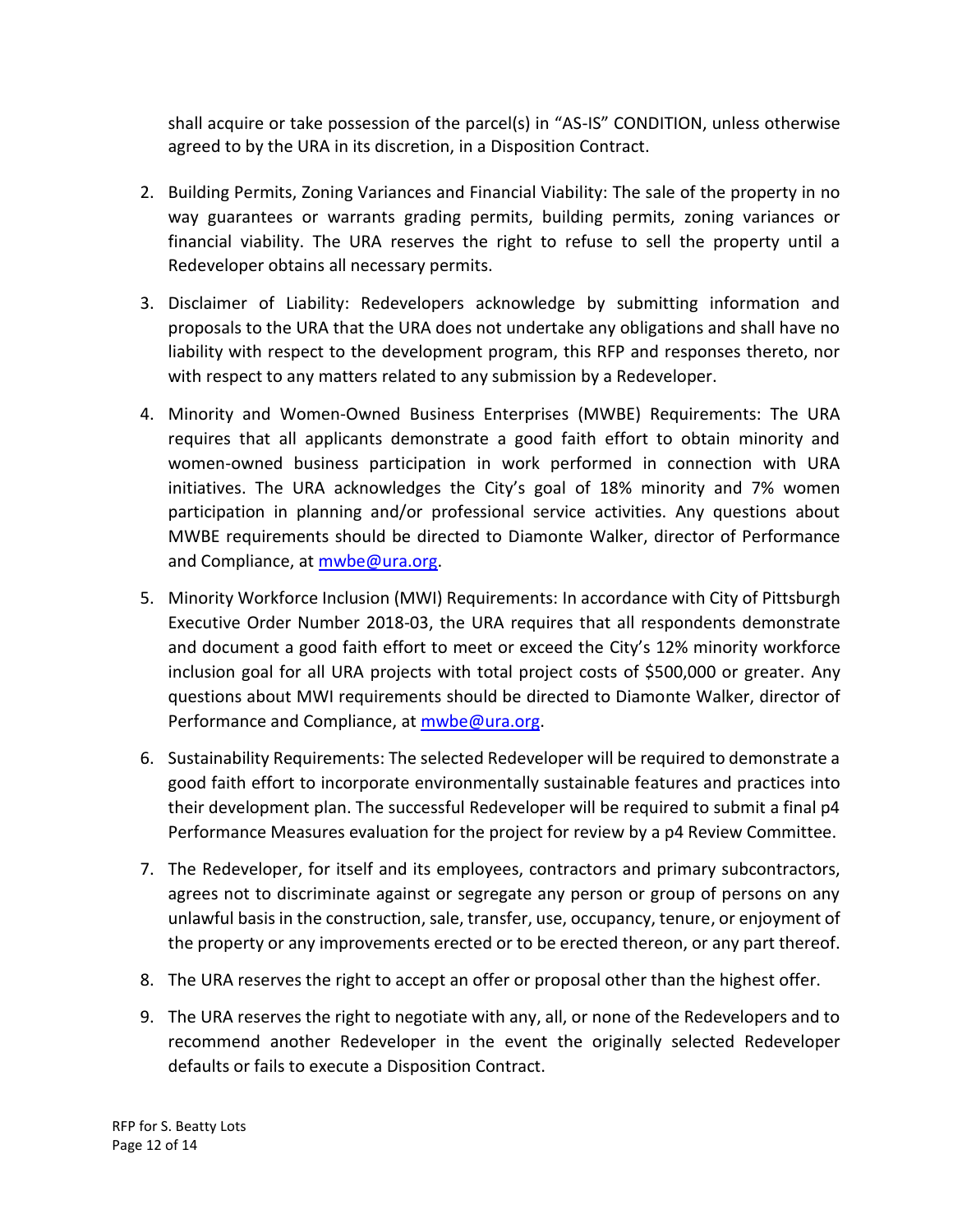shall acquire or take possession of the parcel(s) in "AS-IS" CONDITION, unless otherwise agreed to by the URA in its discretion, in a Disposition Contract.

- 2. Building Permits, Zoning Variances and Financial Viability: The sale of the property in no way guarantees or warrants grading permits, building permits, zoning variances or financial viability. The URA reserves the right to refuse to sell the property until a Redeveloper obtains all necessary permits.
- 3. Disclaimer of Liability: Redevelopers acknowledge by submitting information and proposals to the URA that the URA does not undertake any obligations and shall have no liability with respect to the development program, this RFP and responses thereto, nor with respect to any matters related to any submission by a Redeveloper.
- 4. Minority and Women-Owned Business Enterprises (MWBE) Requirements: The URA requires that all applicants demonstrate a good faith effort to obtain minority and women-owned business participation in work performed in connection with URA initiatives. The URA acknowledges the City's goal of 18% minority and 7% women participation in planning and/or professional service activities. Any questions about MWBE requirements should be directed to Diamonte Walker, director of Performance and Compliance, at [mwbe@ura.org.](mailto:mwbe@ura.org)
- 5. Minority Workforce Inclusion (MWI) Requirements: In accordance with City of Pittsburgh Executive Order Number 2018-03, the URA requires that all respondents demonstrate and document a good faith effort to meet or exceed the City's 12% minority workforce inclusion goal for all URA projects with total project costs of \$500,000 or greater. Any questions about MWI requirements should be directed to Diamonte Walker, director of Performance and Compliance, at [mwbe@ura.org.](mailto:mwbe@ura.org)
- 6. Sustainability Requirements: The selected Redeveloper will be required to demonstrate a good faith effort to incorporate environmentally sustainable features and practices into their development plan. The successful Redeveloper will be required to submit a final p4 Performance Measures evaluation for the project for review by a p4 Review Committee.
- 7. The Redeveloper, for itself and its employees, contractors and primary subcontractors, agrees not to discriminate against or segregate any person or group of persons on any unlawful basis in the construction, sale, transfer, use, occupancy, tenure, or enjoyment of the property or any improvements erected or to be erected thereon, or any part thereof.
- 8. The URA reserves the right to accept an offer or proposal other than the highest offer.
- 9. The URA reserves the right to negotiate with any, all, or none of the Redevelopers and to recommend another Redeveloper in the event the originally selected Redeveloper defaults or fails to execute a Disposition Contract.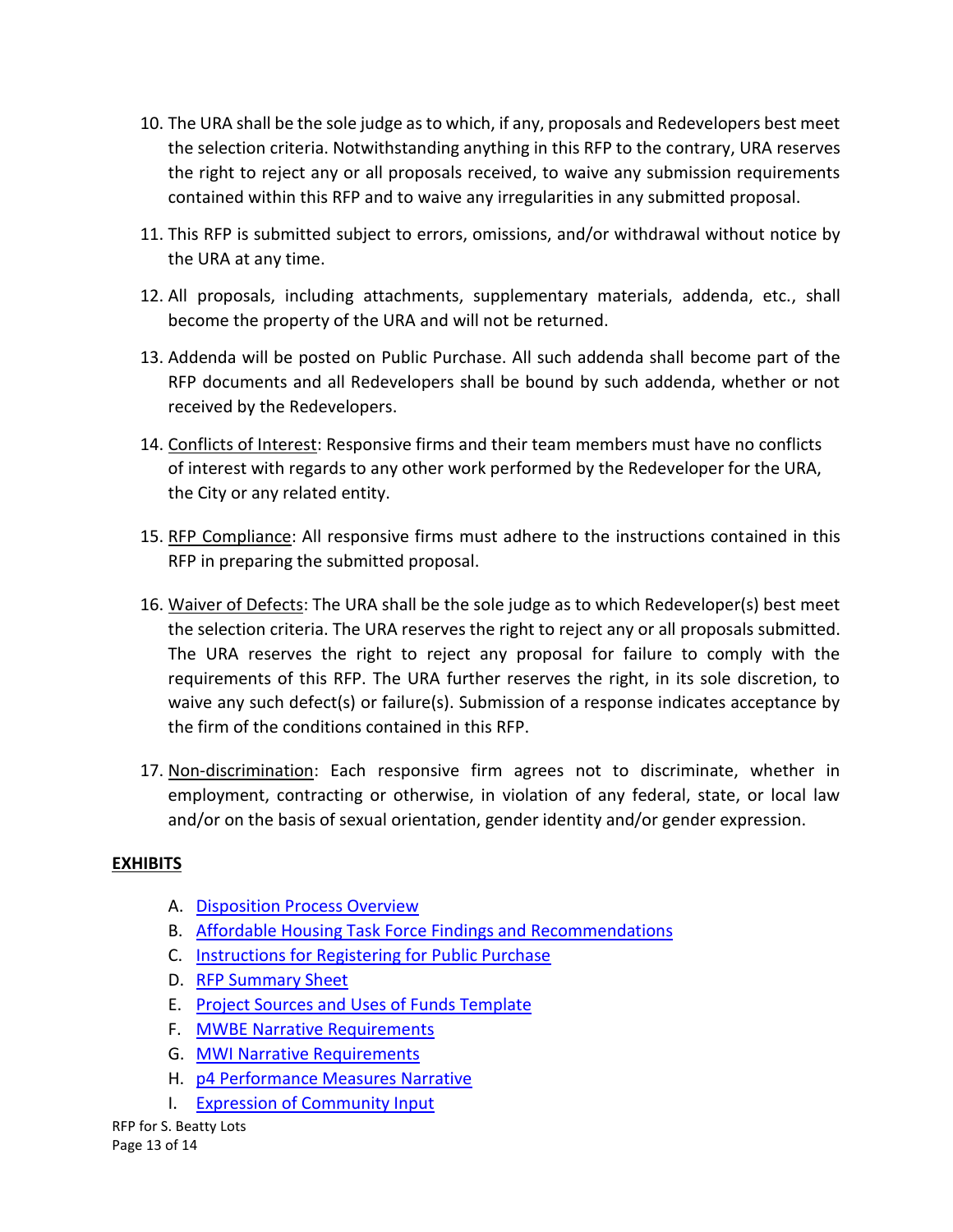- 10. The URA shall be the sole judge as to which, if any, proposals and Redevelopers best meet the selection criteria. Notwithstanding anything in this RFP to the contrary, URA reserves the right to reject any or all proposals received, to waive any submission requirements contained within this RFP and to waive any irregularities in any submitted proposal.
- 11. This RFP is submitted subject to errors, omissions, and/or withdrawal without notice by the URA at any time.
- 12. All proposals, including attachments, supplementary materials, addenda, etc., shall become the property of the URA and will not be returned.
- 13. Addenda will be posted on Public Purchase. All such addenda shall become part of the RFP documents and all Redevelopers shall be bound by such addenda, whether or not received by the Redevelopers.
- 14. Conflicts of Interest: Responsive firms and their team members must have no conflicts of interest with regards to any other work performed by the Redeveloper for the URA, the City or any related entity.
- 15. RFP Compliance: All responsive firms must adhere to the instructions contained in this RFP in preparing the submitted proposal.
- 16. Waiver of Defects: The URA shall be the sole judge as to which Redeveloper(s) best meet the selection criteria. The URA reserves the right to reject any or all proposals submitted. The URA reserves the right to reject any proposal for failure to comply with the requirements of this RFP. The URA further reserves the right, in its sole discretion, to waive any such defect(s) or failure(s). Submission of a response indicates acceptance by the firm of the conditions contained in this RFP.
- 17. Non-discrimination: Each responsive firm agrees not to discriminate, whether in employment, contracting or otherwise, in violation of any federal, state, or local law and/or on the basis of sexual orientation, gender identity and/or gender expression.

# **EXHIBITS**

- A. [Disposition Process Overview](https://www.ura.org/media/W1siZiIsIjIwMTkvMDQvMDQvMzRuaWp4bGhoNl9FeGhpYml0X0FfRGlzcG9zaXRpb25fUHJvY2Vzc19PdmVydmlldy5wZGYiXV0/Exhibit%20A%20Disposition%20Process%20Overview.pdf)
- B. [Affordable Housing Task Force Findings and Recommendations](https://www.ura.org/media/W1siZiIsIjIwMTkvMDQvMDQvbmpzcHg2Z3FyX0V4aGliaXRfQl9BZmZvcmRhYmxlX0hvdXNpbmdfVGFza19Gb3JjZV9GaW5kaW5nc19hbmRfUmVjb21tZW5kYXRpb25zLnBkZiJdXQ/Exhibit%20B%20Affordable%20Housing%20Task%20Force%20Findings%20and%20Recommendations.pdf)
- C. [Instructions for Registering for Public Purchase](https://www.ura.org/media/W1siZiIsIjIwMTkvMDQvMDQvMjFrOXU1b3dnNl9FeGhpYml0X0NfSW5zdHJ1Y3Rpb25zX2Zvcl9SZWdpc3RlcmluZ19vbl9QdWJsaWNfUHVyY2hhc2UucGRmIl1d/Exhibit%20C%20Instructions%20for%20Registering%20on%20Public%20Purchase.pdf)
- D. [RFP Summary Sheet](https://www.ura.org/media/W1siZiIsIjIwMTkvMDQvMDQvNG85M3RkOHhxYV9FeGhpYml0X0RfUkZQX1N1bW1hcnlfU2hlZXQucGRmIl1d/Exhibit%20D%20RFP%20Summary%20Sheet.pdf)
- E. [Project Sources and Uses of Funds Template](https://www.ura.org/media/W1siZiIsIjIwMTkvMDQvMDQvOHl6OG1xdHJ2eV9FeGhpYml0X0VfU291cmNlc19hbmRfVXNlc19vZl9GdW5kc19UZW1wbGF0ZS54bHN4Il1d/Exhibit%20E%20Sources%20and%20Uses%20of%20Funds%20Template.xlsx)
- F. [MWBE Narrative Requirements](https://www.ura.org/media/W1siZiIsIjIwMTkvMDQvMDQvNzVtbWo3bTg5Ml9FeGhpYml0X0ZfTVdCRV9OYXJyYXRpdmVfUmVxdWlyZW1lbnRzLnBkZiJdXQ/Exhibit%20F%20MWBE%20Narrative%20Requirements.pdf)
- G. [MWI Narrative Requirements](https://www.ura.org/media/W1siZiIsIjIwMTkvMDQvMDQvMnEwZ2I1Zno4NF9FeGhpYml0X0dfTVdJX05hcnJhdGl2ZS5wZGYiXV0/Exhibit%20G%20MWI%20Narrative.pdf)
- H. [p4 Performance Measures Narrative](https://www.ura.org/media/W1siZiIsIjIwMTkvMDQvMDQvMjNkazY4ZzN4dF9FeGhpYml0X0hfcDRfTmFycmF0aXZlX1JlcXVpcmVtZW50c19OYXJyYXRpdmUucGRmIl1d/Exhibit%20H%20p4%20Narrative%20Requirements%20Narrative.pdf)
- I. [Expression of Community Input](https://www.ura.org/media/W1siZiIsIjIwMTkvMDQvMDQvM2dlamF2YTIwdl9FeGhpYml0X0lfRXhwcmVzc2lvbl9vZl9Db21tdW5pdHlfSW5wdXQucGRmIl1d/Exhibit%20I%20Expression%20of%20Community%20Input.pdf)